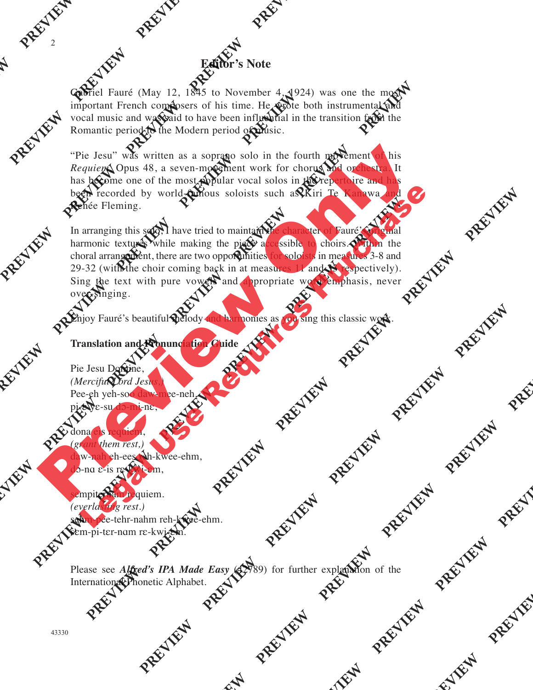## **Editor's Note**

Gabriel Fauré (May 12, 1845 to November 4, 1924) was one the most important French composers of his time. He wrote both instrumental and vocal music and was said to have been influential in the transition from the Romantic period to the Modern period of music.

"Pie Jesu" was written as a soprano solo in the fourth movement of his *Requiem*, Opus 48, a seven-movement work for chorus and orchestra. It has become one of the most popular vocal solos in the repertoire and been recorded by world-famous soloists such as Kiri Te Kanawa Renée Fleming.

In arranging this solo, I have tried to maintain the character of Fauré's original harmonic textures while making the piece accessible to choirs. Within the choral arrangement, there are two opportunities for soloists in measures 3-8 and 29-32 (with the choir coming back in at measures  $\frac{1}{2}$  and 33 respectively). Sing the text with pure vowels and appropriate word emphasis, never over-singing. **Editor**<br>**PREVIEWATE CONSTREVIEW PREVIEW PREVIEW PREVIEW PREVIEW PREVIEW PREVIEW PREVIEW PREVIEW PREVIEW PREVIEW PREVIEW PREVIEW PREVIEW PREVIEW PREVIEW PREVIEW PREVIEW PREVIEW PREVIEW PEREVIEWATE: PREVIEWATE: PREVIEWATE: PREVIEWATE: PREVIEWATE: PREVIEWATE: PREVIEW PREVIEW PREVIEW PREVIEW PREVIEW PREVIEW PREVIEW PREVIEW PREVIEW PREVIEW PREVIEW PREVIEW PREVIEW PREVIE PREVIEW THE CONSERVANT CONSERVANT CONSERVANT CONSERVANT CONSERVANT CONSERVANT CONSERVANT CONSERVANT CONSERVANT CONSERVANT CONSERVANT CONSERVAT CONSERVAT CONSERVAT CONSERVAT CONSERVAT CONSERVAT CONSERVAT CONSERVAT CONSERVA PREVIEW THE PREVIEW CONSERVANCE CONSERVANCE CONSERVANCE CONSERVANCE CONSERVANCE CONSERVANCE CONSERVANCE CONSERVANCE CONSERVANCE CONSERVANCE CONSERVANCE CONSERVANCE CONSERVANCE CONSERVANCE CONSERVANCE CONSERVANCE CONSERVAN PREVIEW FOR A CONSUMPTER CONSUMPTED A** CONSUMPTED THE CONSUMPTION CONSUMPTION CONSUMPTION CONSUMPTION OF THE CONSUMPTION OF THE SAME CONSUMPTION CONSUMPTION CONSUMPTION CONSUMPTION CONSUMPTION CONSUMPTION CONSUMPTION CONS Pie Lean" was written as a soprano solo in the fourth movement<br>
Requirem, Opus 84, a seven-movement work for chorons and<br>
has become cored by world-famous soloids such as Kiri The theorem<br>
been recorded by world-famous sol **PREVIEW INTERNATIONAL CONSULTERING CONSULTERING THE CONSULTERING CONSULTERING THE CONSULTERING THE CONSULTERING THE CONSULTERING CONSULTERING THE CONSULTERING THE CONSULTERING THE CONSULTERING THE CONSULTERING THE CONSULT EXERCISE IN the choir coming back in at measure and 3-s and the choir coming back in at measure word 3-s and the choir court of the compliants in every size of the properties with pure vowels and a propertie word complian PREVIEW THE EXECUTE CONSUMER SUPPOSE IS THE UNION OF THE WAY AND THE POST OF THE PREVIEW PREVIEW PREVIEW PREVIEW PREVIEW PREVIEW PREVIEW PREVIEW PREVIEW PREVIEW PREVIEW PREVIEW PREVIEW PREVIEW PREVIEW PREVIEW PREVIEW PREV** The Jesu" was written as a soprano solo in the fourth movement with the Requirem, Optical and the movement work for chomas and one in each control and the movement with the control and the movement with the movement with t Example The Contract of the Contract of the Contract of the Contract of the Contract of the Contract of the Contract of the Contract of the Contract of the Contract of the Contract of the Contract of the Contract of the Co

Enjoy Fauré's beautiful melody and harmonies as you sing this classic work.

Translation and Pronunciation Guide<br>
Pie Jesu Domine,<br>
(Merciful Lord Jesus)<br>
Pee-eh yeh-soo Pie Jesu Domine, *(Merciful Lord Jesus)* Pee-eh yeh-soo daw-mee-neh, pi-ε yε-su dɔ-mi-nε,

dona eis *(grant them rest,)* daw-nah eh-ees reh-kwee-ehm, dɔ-nɑ ε-is rε-kwi-εm,

sempiternam requiem. *(everlasting rest.)* sehm-pee-tehr-nahm reh-kwee-ehm. sεm-pi-tεr-nɑm rε-kwi-εm.

Please see *Alfred's IPA Made Easy* (42789) for further explanation of the International Phonetic Alphabet. **PREV**<br> **PREVIEW PREVIEW PREVIEW PREVIEW PREVIEW PREVIEW PREVIEW PREVIEW PREVIEW PREVIEW PREVIEW PREVIEW PREVIEW PREVIEW PREVIEW PREVIEW PREVIEW PREVIEW PREVIEW PREVIEW PREVIEW PRE PREVIEW PREVIEW PREVIEW PREVIEW PREVIEW PREVIEW PREVIEW PREVIEW PREVIEW PREVIEW PREVIEW PREVIEW PREVIEW PREVIEW PREVIEW PREVIEW PREVIEW PREVIEW PREVIEW PREVIEW PREVIEW PREVIEW P**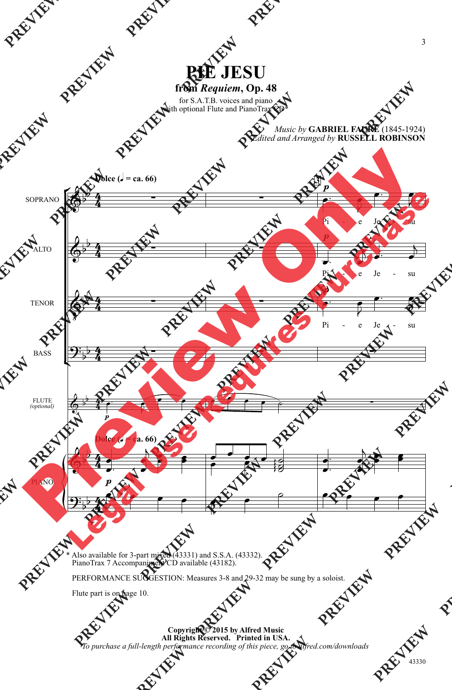

for S.A.T.B. voices and piano with optional Flute and PianoTrax CD\*

> *Music by* **GABRIEL FAURÉ** (1845-1924) *Edited and Arranged by* **RUSSELL ROBINSON**



Flute part is on page 10.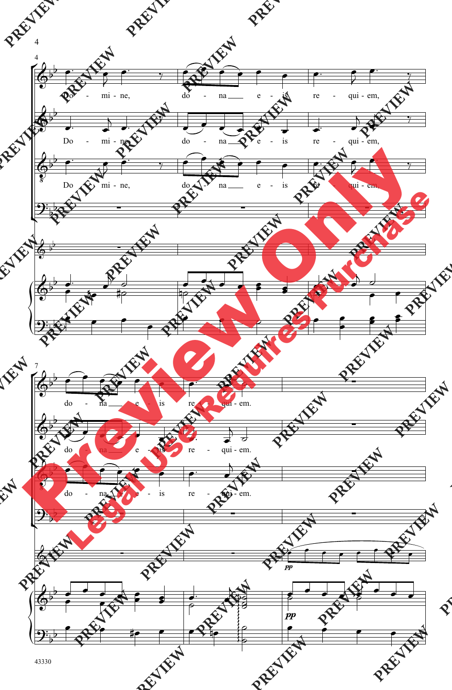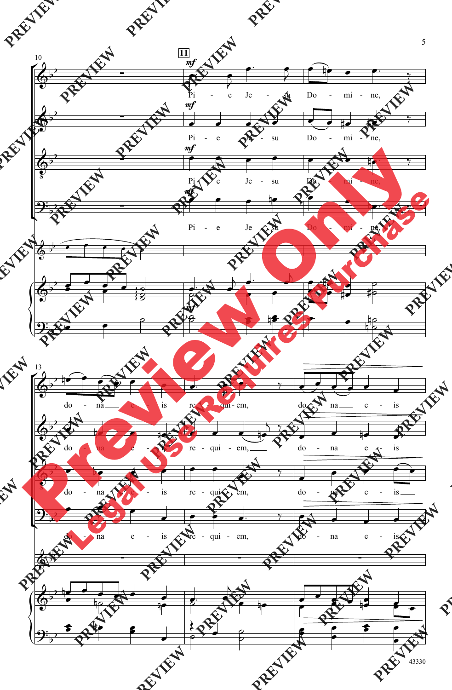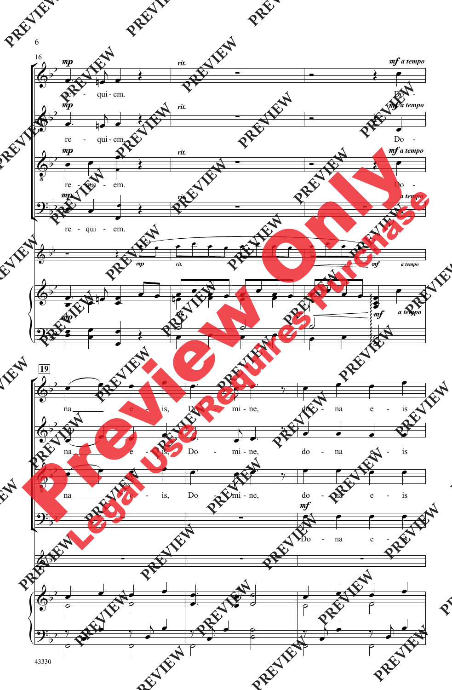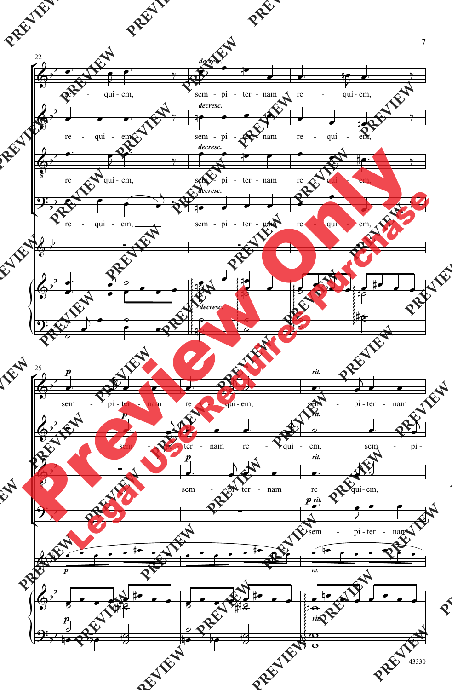

43330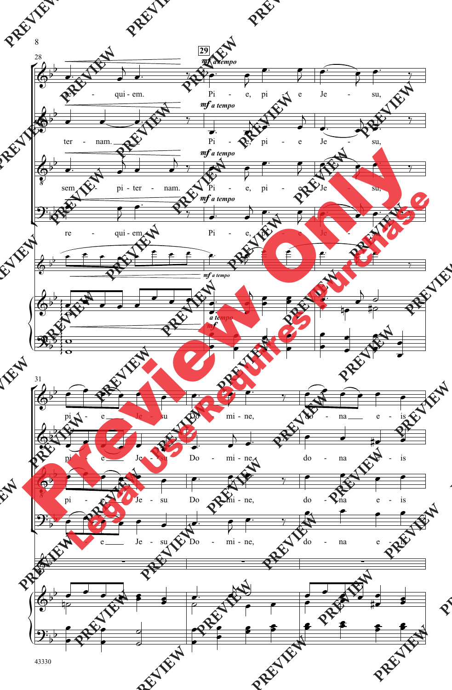

43330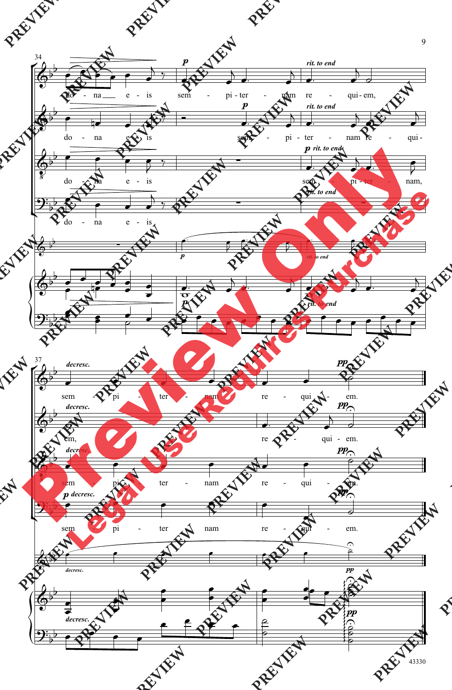